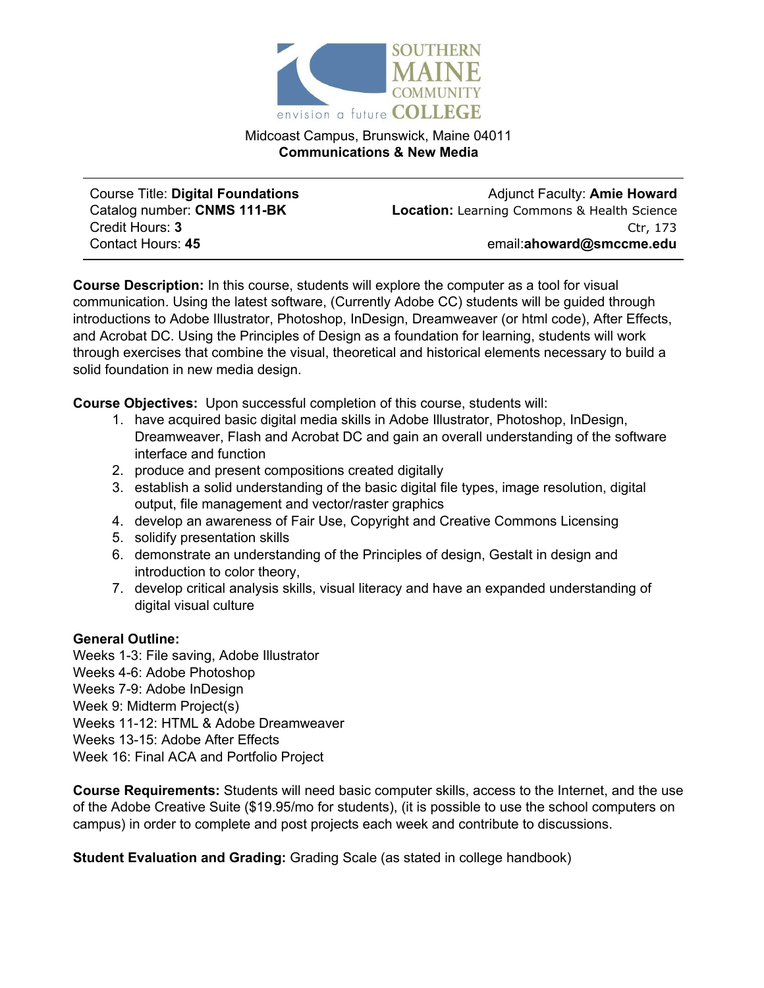

Midcoast Campus, Brunswick, Maine 04011 **Communications & New Media**

Course Title: **Digital Foundations** Catalog number: **CNMS 111-BK** Credit Hours: **3** Contact Hours: **45**

Adjunct Faculty: **Amie Howard Location:** Learning Commons & Health Science Ctr, 173 email:**ahoward@smccme.edu**

**Course Description:** In this course, students will explore the computer as a tool for visual communication. Using the latest software, (Currently Adobe CC) students will be guided through introductions to Adobe Illustrator, Photoshop, InDesign, Dreamweaver (or html code), After Effects, and Acrobat DC. Using the Principles of Design as a foundation for learning, students will work through exercises that combine the visual, theoretical and historical elements necessary to build a solid foundation in new media design.

**Course Objectives:** Upon successful completion of this course, students will:

- 1. have acquired basic digital media skills in Adobe Illustrator, Photoshop, InDesign, Dreamweaver, Flash and Acrobat DC and gain an overall understanding of the software interface and function
- 2. produce and present compositions created digitally
- 3. establish a solid understanding of the basic digital file types, image resolution, digital output, file management and vector/raster graphics
- 4. develop an awareness of Fair Use, Copyright and Creative Commons Licensing
- 5. solidify presentation skills
- 6. demonstrate an understanding of the Principles of design, Gestalt in design and introduction to color theory,
- 7. develop critical analysis skills, visual literacy and have an expanded understanding of digital visual culture

## **General Outline:**

Weeks 1-3: File saving, Adobe Illustrator Weeks 4-6: Adobe Photoshop Weeks 7-9: Adobe InDesign Week 9: Midterm Project(s) Weeks 11-12: HTML & Adobe Dreamweaver Weeks 13-15: Adobe After Effects Week 16: Final ACA and Portfolio Project

**Course Requirements:** Students will need basic computer skills, access to the Internet, and the use of the Adobe Creative Suite (\$19.95/mo for students), (it is possible to use the school computers on campus) in order to complete and post projects each week and contribute to discussions.

**Student Evaluation and Grading:** Grading Scale (as stated in college handbook)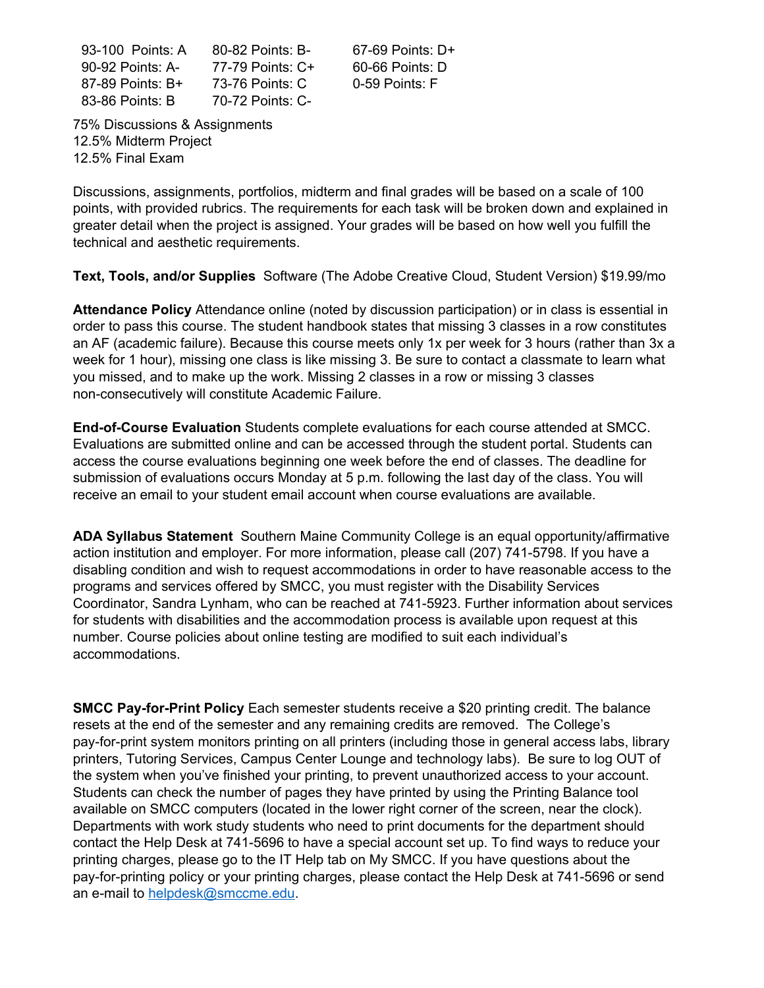93-100 Points: A 90-92 Points: A-87-89 Points: B+ 83-86 Points: B 80-82 Points: B-77-79 Points: C+ 73-76 Points: C 70-72 Points: C-

67-69 Points: D+ 60-66 Points: D 0-59 Points: F

75% Discussions & Assignments 12.5% Midterm Project 12.5% Final Exam

Discussions, assignments, portfolios, midterm and final grades will be based on a scale of 100 points, with provided rubrics. The requirements for each task will be broken down and explained in greater detail when the project is assigned. Your grades will be based on how well you fulfill the technical and aesthetic requirements.

**Text, Tools, and/or Supplies** Software (The Adobe Creative Cloud, Student Version) \$19.99/mo

**Attendance Policy** Attendance online (noted by discussion participation) or in class is essential in order to pass this course. The student handbook states that missing 3 classes in a row constitutes an AF (academic failure). Because this course meets only 1x per week for 3 hours (rather than 3x a week for 1 hour), missing one class is like missing 3. Be sure to contact a classmate to learn what you missed, and to make up the work. Missing 2 classes in a row or missing 3 classes non-consecutively will constitute Academic Failure.

**End-of-Course Evaluation** Students complete evaluations for each course attended at SMCC. Evaluations are submitted online and can be accessed through the student portal. Students can access the course evaluations beginning one week before the end of classes. The deadline for submission of evaluations occurs Monday at 5 p.m. following the last day of the class. You will receive an email to your student email account when course evaluations are available.

**ADA Syllabus Statement** Southern Maine Community College is an equal opportunity/affirmative action institution and employer. For more information, please call (207) 741-5798. If you have a disabling condition and wish to request accommodations in order to have reasonable access to the programs and services offered by SMCC, you must register with the Disability Services Coordinator, Sandra Lynham, who can be reached at 741-5923. Further information about services for students with disabilities and the accommodation process is available upon request at this number. Course policies about online testing are modified to suit each individual's accommodations.

**SMCC Pay-for-Print Policy** Each semester students receive a \$20 printing credit. The balance resets at the end of the semester and any remaining credits are removed. The College's pay-for-print system monitors printing on all printers (including those in general access labs, library printers, Tutoring Services, Campus Center Lounge and technology labs). Be sure to log OUT of the system when you've finished your printing, to prevent unauthorized access to your account. Students can check the number of pages they have printed by using the Printing Balance tool available on SMCC computers (located in the lower right corner of the screen, near the clock). Departments with work study students who need to print documents for the department should contact the Help Desk at 741-5696 to have a special account set up. To find ways to reduce your printing charges, please go to the IT Help tab on My SMCC. If you have questions about the pay-for-printing policy or your printing charges, please contact the Help Desk at 741-5696 or send an e-mail to [helpdesk@smccme.edu.](mailto:helpdesk@smccme.edu)